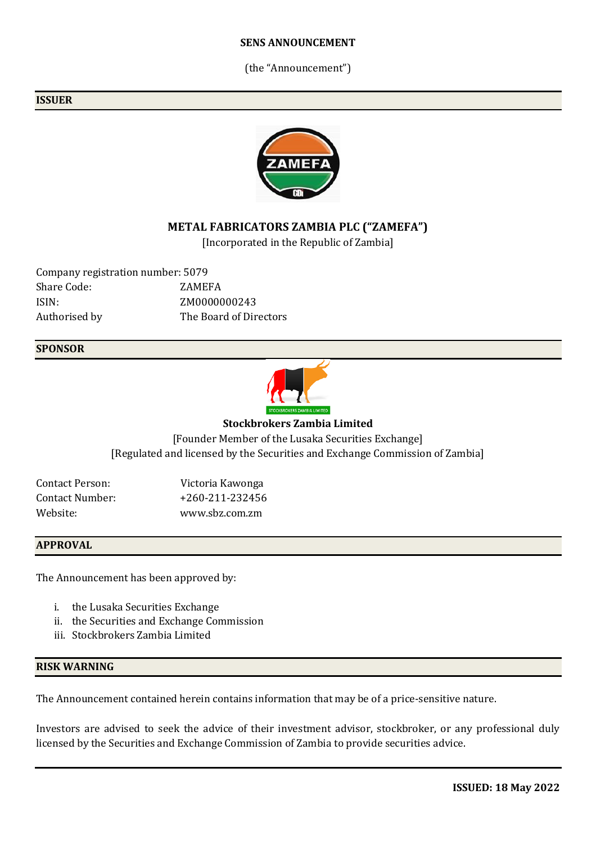#### **SENS ANNOUNCEMENT**

(the "Announcement")

#### **ISSUER**



## **METAL FABRICATORS ZAMBIA PLC ("ZAMEFA")**

[Incorporated in the Republic of Zambia]

Company registration number: 5079 Share Code: ZAMEFA ISIN: ZM0000000243 Authorised by The Board of Directors

#### **SPONSOR**



#### **Stockbrokers Zambia Limited**

[Founder Member of the Lusaka Securities Exchange] [Regulated and licensed by the Securities and Exchange Commission of Zambia]

| Contact Person: | Victoria Kawonga |
|-----------------|------------------|
| Contact Number: | +260-211-232456  |
| Website:        | www.sbz.com.zm   |

### **APPROVAL**

The Announcement has been approved by:

- i. the Lusaka Securities Exchange
- ii. the Securities and Exchange Commission
- iii. Stockbrokers Zambia Limited

#### **RISK WARNING**

The Announcement contained herein contains information that may be of a price-sensitive nature.

Investors are advised to seek the advice of their investment advisor, stockbroker, or any professional duly licensed by the Securities and Exchange Commission of Zambia to provide securities advice.